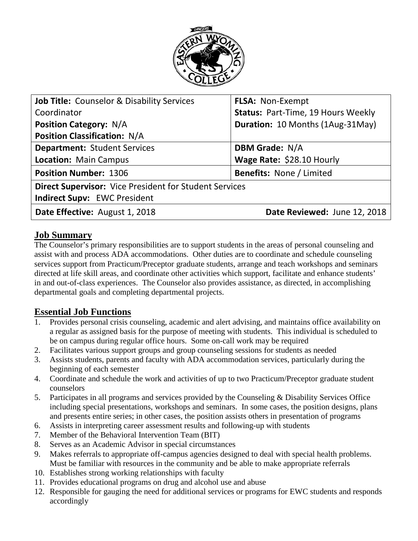

| <b>Job Title: Counselor &amp; Disability Services</b>         | <b>FLSA: Non-Exempt</b>                 |
|---------------------------------------------------------------|-----------------------------------------|
| Coordinator                                                   | Status: Part-Time, 19 Hours Weekly      |
| <b>Position Category: N/A</b>                                 | <b>Duration: 10 Months (1Aug-31May)</b> |
| <b>Position Classification: N/A</b>                           |                                         |
| <b>Department: Student Services</b>                           | <b>DBM Grade: N/A</b>                   |
| <b>Location: Main Campus</b>                                  | Wage Rate: \$28.10 Hourly               |
| <b>Position Number: 1306</b>                                  | <b>Benefits: None / Limited</b>         |
| <b>Direct Supervisor:</b> Vice President for Student Services |                                         |
| <b>Indirect Supv: EWC President</b>                           |                                         |
| Date Effective: August 1, 2018                                | Date Reviewed: June 12, 2018            |

#### **Job Summary**

The Counselor's primary responsibilities are to support students in the areas of personal counseling and assist with and process ADA accommodations. Other duties are to coordinate and schedule counseling services support from Practicum/Preceptor graduate students, arrange and teach workshops and seminars directed at life skill areas, and coordinate other activities which support, facilitate and enhance students' in and out-of-class experiences. The Counselor also provides assistance, as directed, in accomplishing departmental goals and completing departmental projects.

## **Essential Job Functions**

- 1. Provides personal crisis counseling, academic and alert advising, and maintains office availability on a regular as assigned basis for the purpose of meeting with students. This individual is scheduled to be on campus during regular office hours. Some on-call work may be required
- 2. Facilitates various support groups and group counseling sessions for students as needed
- 3. Assists students, parents and faculty with ADA accommodation services, particularly during the beginning of each semester
- 4. Coordinate and schedule the work and activities of up to two Practicum/Preceptor graduate student counselors
- 5. Participates in all programs and services provided by the Counseling & Disability Services Office including special presentations, workshops and seminars. In some cases, the position designs, plans and presents entire series; in other cases, the position assists others in presentation of programs
- 6. Assists in interpreting career assessment results and following-up with students
- 7. Member of the Behavioral Intervention Team (BIT)
- 8. Serves as an Academic Advisor in special circumstances
- 9. Makes referrals to appropriate off-campus agencies designed to deal with special health problems. Must be familiar with resources in the community and be able to make appropriate referrals
- 10. Establishes strong working relationships with faculty
- 11. Provides educational programs on drug and alcohol use and abuse
- 12. Responsible for gauging the need for additional services or programs for EWC students and responds accordingly